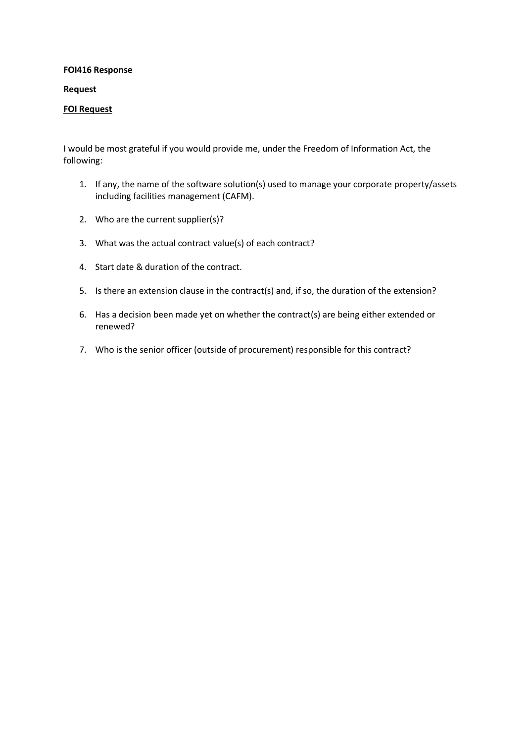### **FOI416 Response**

#### **Request**

## **FOI Request**

I would be most grateful if you would provide me, under the Freedom of Information Act, the following:

- 1. If any, the name of the software solution(s) used to manage your corporate property/assets including facilities management (CAFM).
- 2. Who are the current supplier(s)?
- 3. What was the actual contract value(s) of each contract?
- 4. Start date & duration of the contract.
- 5. Is there an extension clause in the contract(s) and, if so, the duration of the extension?
- 6. Has a decision been made yet on whether the contract(s) are being either extended or renewed?
- 7. Who is the senior officer (outside of procurement) responsible for this contract?